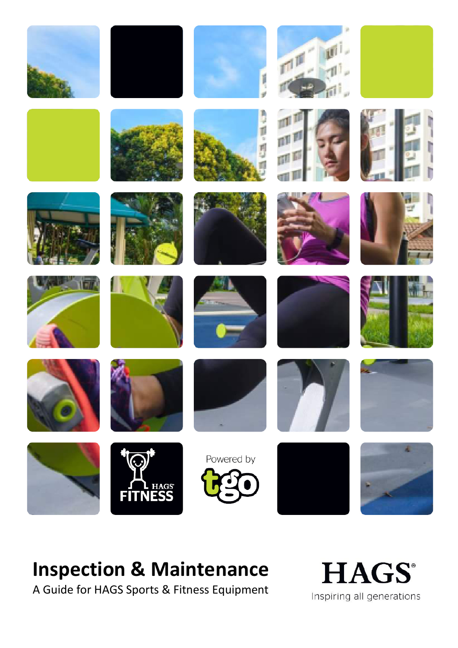

# **Inspection & Maintenance**

A Guide for HAGS Sports & Fitness Equipment

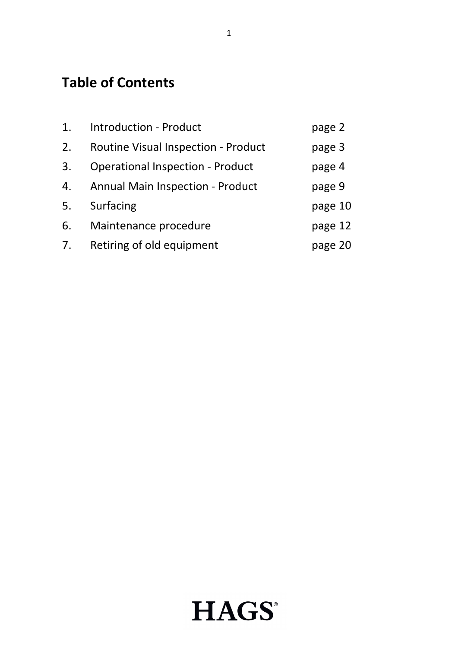# **Table of Contents**

| 1. | <b>Introduction - Product</b>              | page 2  |
|----|--------------------------------------------|---------|
| 2. | <b>Routine Visual Inspection - Product</b> | page 3  |
| 3. | <b>Operational Inspection - Product</b>    | page 4  |
| 4. | <b>Annual Main Inspection - Product</b>    | page 9  |
| 5. | Surfacing                                  | page 10 |
| 6. | Maintenance procedure                      | page 12 |
| 7. | Retiring of old equipment                  | page 20 |

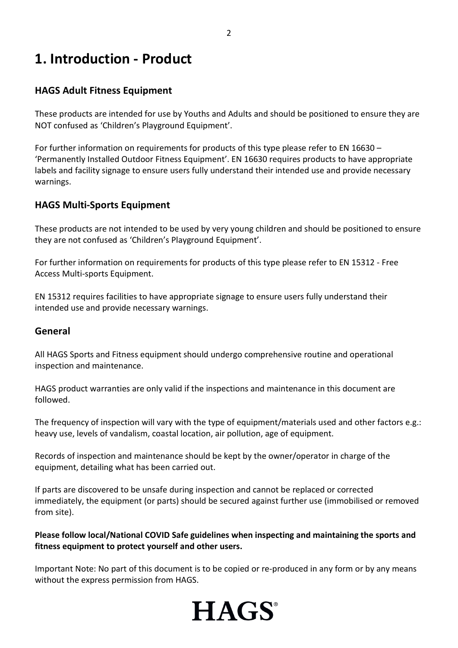## **1. Introduction - Product**

#### **HAGS Adult Fitness Equipment**

These products are intended for use by Youths and Adults and should be positioned to ensure they are NOT confused as 'Children's Playground Equipment'.

For further information on requirements for products of this type please refer to EN 16630 – 'Permanently Installed Outdoor Fitness Equipment'. EN 16630 requires products to have appropriate labels and facility signage to ensure users fully understand their intended use and provide necessary warnings.

#### **HAGS Multi-Sports Equipment**

These products are not intended to be used by very young children and should be positioned to ensure they are not confused as 'Children's Playground Equipment'.

For further information on requirements for products of this type please refer to EN 15312 - Free Access Multi-sports Equipment.

EN 15312 requires facilities to have appropriate signage to ensure users fully understand their intended use and provide necessary warnings.

#### **General**

All HAGS Sports and Fitness equipment should undergo comprehensive routine and operational inspection and maintenance.

HAGS product warranties are only valid if the inspections and maintenance in this document are followed.

The frequency of inspection will vary with the type of equipment/materials used and other factors e.g.: heavy use, levels of vandalism, coastal location, air pollution, age of equipment.

Records of inspection and maintenance should be kept by the owner/operator in charge of the equipment, detailing what has been carried out.

If parts are discovered to be unsafe during inspection and cannot be replaced or corrected immediately, the equipment (or parts) should be secured against further use (immobilised or removed from site).

**Please follow local/National COVID Safe guidelines when inspecting and maintaining the sports and fitness equipment to protect yourself and other users.**

Important Note: No part of this document is to be copied or re-produced in any form or by any means without the express permission from HAGS.

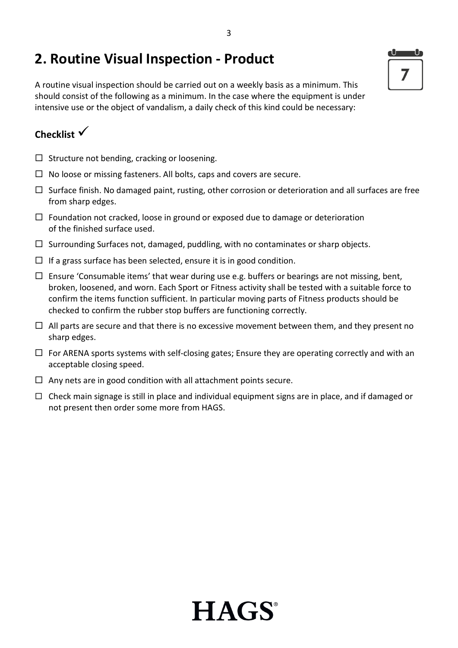# **2. Routine Visual Inspection - Product**

A routine visual inspection should be carried out on a weekly basis as a minimum. This should consist of the following as a minimum. In the case where the equipment is under intensive use or the object of vandalism, a daily check of this kind could be necessary:

### **Checklist**

- $\square$  Structure not bending, cracking or loosening.
- $\Box$  No loose or missing fasteners. All bolts, caps and covers are secure.
- $\Box$  Surface finish. No damaged paint, rusting, other corrosion or deterioration and all surfaces are free from sharp edges.
- $\Box$  Foundation not cracked, loose in ground or exposed due to damage or deterioration of the finished surface used.
- $\Box$  Surrounding Surfaces not, damaged, puddling, with no contaminates or sharp objects.
- $\Box$  If a grass surface has been selected, ensure it is in good condition.
- $\Box$  Ensure 'Consumable items' that wear during use e.g. buffers or bearings are not missing, bent, broken, loosened, and worn. Each Sport or Fitness activity shall be tested with a suitable force to confirm the items function sufficient. In particular moving parts of Fitness products should be checked to confirm the rubber stop buffers are functioning correctly.
- $\Box$  All parts are secure and that there is no excessive movement between them, and they present no sharp edges.
- $\Box$  For ARENA sports systems with self-closing gates; Ensure they are operating correctly and with an acceptable closing speed.
- $\Box$  Any nets are in good condition with all attachment points secure.
- $\Box$  Check main signage is still in place and individual equipment signs are in place, and if damaged or not present then order some more from HAGS.



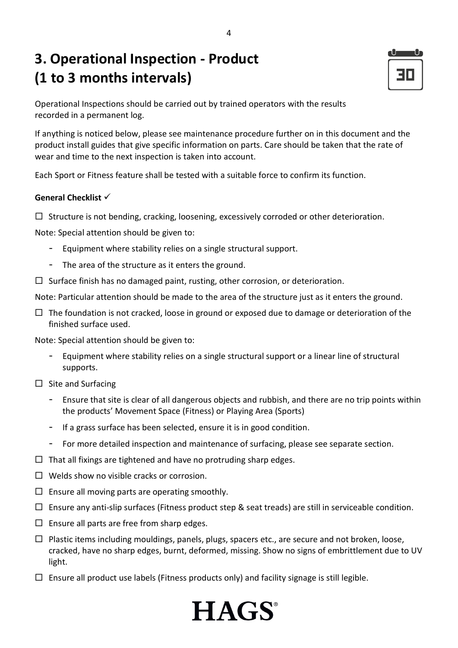# **3. Operational Inspection - Product (1 to 3 months intervals)**

30

Operational Inspections should be carried out by trained operators with the results recorded in a permanent log.

If anything is noticed below, please see maintenance procedure further on in this document and the product install guides that give specific information on parts. Care should be taken that the rate of wear and time to the next inspection is taken into account.

Each Sport or Fitness feature shall be tested with a suitable force to confirm its function.

#### **General Checklist**

 $\Box$  Structure is not bending, cracking, loosening, excessively corroded or other deterioration.

Note: Special attention should be given to:

- Equipment where stability relies on a single structural support.
- The area of the structure as it enters the ground.
- $\Box$  Surface finish has no damaged paint, rusting, other corrosion, or deterioration.

Note: Particular attention should be made to the area of the structure just as it enters the ground.

 $\Box$  The foundation is not cracked, loose in ground or exposed due to damage or deterioration of the finished surface used.

Note: Special attention should be given to:

- Equipment where stability relies on a single structural support or a linear line of structural supports.
- $\square$  Site and Surfacing
	- Ensure that site is clear of all dangerous objects and rubbish, and there are no trip points within the products' Movement Space (Fitness) or Playing Area (Sports)
	- If a grass surface has been selected, ensure it is in good condition.
	- For more detailed inspection and maintenance of surfacing, please see separate section.
- $\Box$  That all fixings are tightened and have no protruding sharp edges.
- $\Box$  Welds show no visible cracks or corrosion.
- $\square$  Ensure all moving parts are operating smoothly.
- $\Box$  Ensure any anti-slip surfaces (Fitness product step & seat treads) are still in serviceable condition.
- $\square$  Ensure all parts are free from sharp edges.
- $\Box$  Plastic items including mouldings, panels, plugs, spacers etc., are secure and not broken, loose, cracked, have no sharp edges, burnt, deformed, missing. Show no signs of embrittlement due to UV light.

**HAGS** 

 $\Box$  Ensure all product use labels (Fitness products only) and facility signage is still legible.

### 4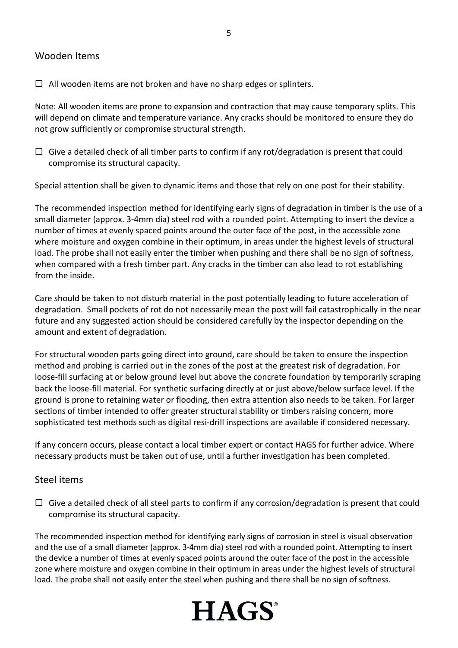#### Wooden Items

 $\Box$  All wooden items are not broken and have no sharp edges or splinters.

Note: All wooden items are prone to expansion and contraction that may cause temporary splits. This will depend on climate and temperature variance. Any cracks should be monitored to ensure they do not grow sufficiently or compromise structural strength.

 $\Box$  Give a detailed check of all timber parts to confirm if any rot/degradation is present that could compromise its structural capacity.

Special attention shall be given to dynamic items and those that rely on one post for their stability.

The recommended inspection method for identifying early signs of degradation in timber is the use of a small diameter (approx. 3-4mm dia) steel rod with a rounded point. Attempting to insert the device a number of times at evenly spaced points around the outer face of the post, in the accessible zone where moisture and oxygen combine in their optimum, in areas under the highest levels of structural load. The probe shall not easily enter the timber when pushing and there shall be no sign of softness, when compared with a fresh timber part. Any cracks in the timber can also lead to rot establishing from the inside.

Care should be taken to not disturb material in the post potentially leading to future acceleration of degradation. Small pockets of rot do not necessarily mean the post will fail catastrophically in the near future and any suggested action should be considered carefully by the inspector depending on the amount and extent of degradation.

For structural wooden parts going direct into ground, care should be taken to ensure the inspection method and probing is carried out in the zones of the post at the greatest risk of degradation. For loose-fill surfacing at or below ground level but above the concrete foundation by temporarily scraping back the loose-fill material. For synthetic surfacing directly at or just above/below surface level. If the ground is prone to retaining water or flooding, then extra attention also needs to be taken. For larger sections of timber intended to offer greater structural stability or timbers raising concern, more sophisticated test methods such as digital resi-drill inspections are available if considered necessary.

If any concern occurs, please contact a local timber expert or contact HAGS for further advice. Where necessary products must be taken out of use, until a further investigation has been completed.

#### Steel items

 $\Box$  Give a detailed check of all steel parts to confirm if any corrosion/degradation is present that could compromise its structural capacity.

The recommended inspection method for identifying early signs of corrosion in steel is visual observation and the use of a small diameter (approx. 3-4mm dia) steel rod with a rounded point. Attempting to insert the device a number of times at evenly spaced points around the outer face of the post in the accessible zone where moisture and oxygen combine in their optimum in areas under the highest levels of structural load. The probe shall not easily enter the steel when pushing and there shall be no sign of softness.

# **HAGS**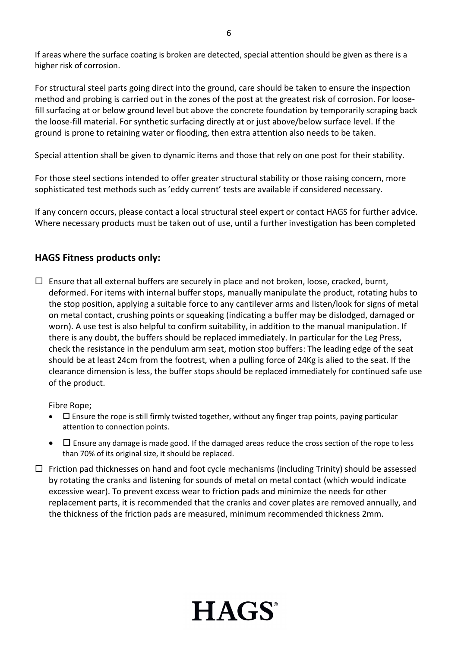If areas where the surface coating is broken are detected, special attention should be given as there is a higher risk of corrosion.

For structural steel parts going direct into the ground, care should be taken to ensure the inspection method and probing is carried out in the zones of the post at the greatest risk of corrosion. For loosefill surfacing at or below ground level but above the concrete foundation by temporarily scraping back the loose-fill material. For synthetic surfacing directly at or just above/below surface level. If the ground is prone to retaining water or flooding, then extra attention also needs to be taken.

Special attention shall be given to dynamic items and those that rely on one post for their stability.

For those steel sections intended to offer greater structural stability or those raising concern, more sophisticated test methods such as 'eddy current' tests are available if considered necessary.

If any concern occurs, please contact a local structural steel expert or contact HAGS for further advice. Where necessary products must be taken out of use, until a further investigation has been completed

#### **HAGS Fitness products only:**

 $\Box$  Ensure that all external buffers are securely in place and not broken, loose, cracked, burnt, deformed. For items with internal buffer stops, manually manipulate the product, rotating hubs to the stop position, applying a suitable force to any cantilever arms and listen/look for signs of metal on metal contact, crushing points or squeaking (indicating a buffer may be dislodged, damaged or worn). A use test is also helpful to confirm suitability, in addition to the manual manipulation. If there is any doubt, the buffers should be replaced immediately. In particular for the Leg Press, check the resistance in the pendulum arm seat, motion stop buffers: The leading edge of the seat should be at least 24cm from the footrest, when a pulling force of 24Kg is alied to the seat. If the clearance dimension is less, the buffer stops should be replaced immediately for continued safe use of the product.

Fibre Rope;

- $\square$  Ensure the rope is still firmly twisted together, without any finger trap points, paying particular attention to connection points.
- $\bullet$   $\Box$  Ensure any damage is made good. If the damaged areas reduce the cross section of the rope to less than 70% of its original size, it should be replaced.
- $\Box$  Friction pad thicknesses on hand and foot cycle mechanisms (including Trinity) should be assessed by rotating the cranks and listening for sounds of metal on metal contact (which would indicate excessive wear). To prevent excess wear to friction pads and minimize the needs for other replacement parts, it is recommended that the cranks and cover plates are removed annually, and the thickness of the friction pads are measured, minimum recommended thickness 2mm.

**HAGS**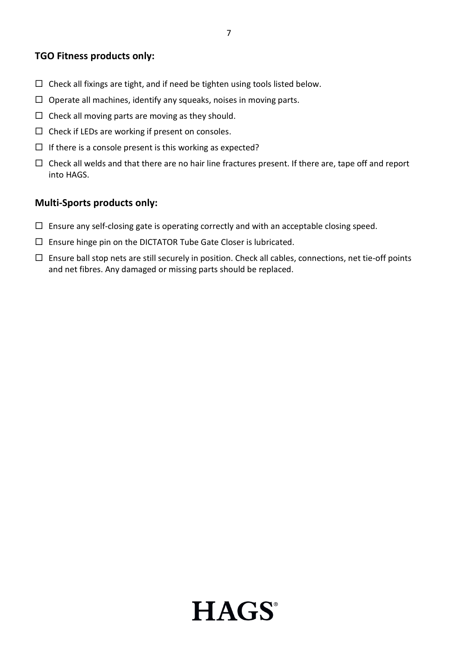#### **TGO Fitness products only:**

- $\Box$  Check all fixings are tight, and if need be tighten using tools listed below.
- $\Box$  Operate all machines, identify any squeaks, noises in moving parts.
- $\Box$  Check all moving parts are moving as they should.
- $\Box$  Check if LEDs are working if present on consoles.
- $\Box$  If there is a console present is this working as expected?
- $\Box$  Check all welds and that there are no hair line fractures present. If there are, tape off and report into HAGS.

#### **Multi-Sports products only:**

- $\Box$  Ensure any self-closing gate is operating correctly and with an acceptable closing speed.
- $\square$  Ensure hinge pin on the DICTATOR Tube Gate Closer is lubricated.
- $\Box$  Ensure ball stop nets are still securely in position. Check all cables, connections, net tie-off points and net fibres. Any damaged or missing parts should be replaced.

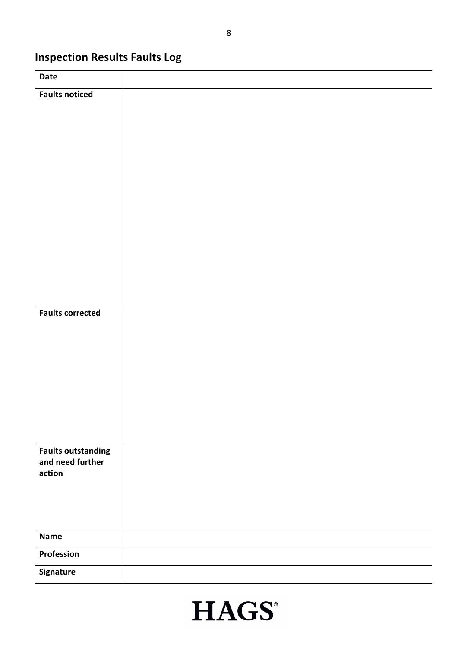## **Inspection Results Faults Log**

| Date                                          |  |
|-----------------------------------------------|--|
| <b>Faults noticed</b>                         |  |
|                                               |  |
|                                               |  |
|                                               |  |
|                                               |  |
|                                               |  |
|                                               |  |
|                                               |  |
|                                               |  |
|                                               |  |
|                                               |  |
|                                               |  |
|                                               |  |
| <b>Faults corrected</b>                       |  |
|                                               |  |
|                                               |  |
|                                               |  |
|                                               |  |
|                                               |  |
|                                               |  |
|                                               |  |
|                                               |  |
| <b>Faults outstanding</b><br>and need further |  |
| action                                        |  |
|                                               |  |
|                                               |  |
|                                               |  |
| <b>Name</b>                                   |  |
| Profession                                    |  |
| Signature                                     |  |

# **HAGS®**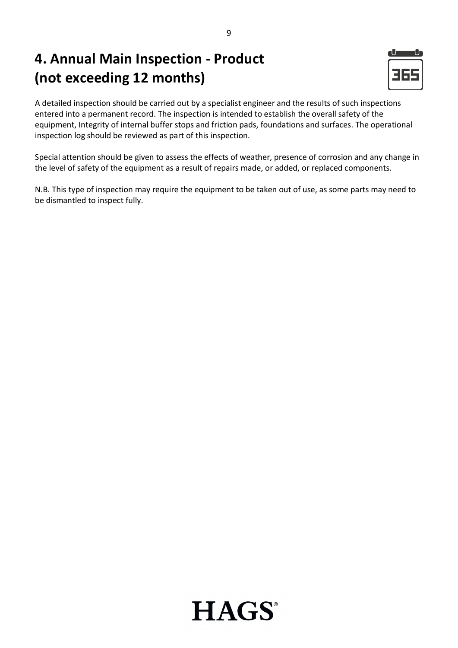# **4. Annual Main Inspection - Product (not exceeding 12 months)**



A detailed inspection should be carried out by a specialist engineer and the results of such inspections entered into a permanent record. The inspection is intended to establish the overall safety of the equipment, Integrity of internal buffer stops and friction pads, foundations and surfaces. The operational inspection log should be reviewed as part of this inspection.

Special attention should be given to assess the effects of weather, presence of corrosion and any change in the level of safety of the equipment as a result of repairs made, or added, or replaced components.

N.B. This type of inspection may require the equipment to be taken out of use, as some parts may need to be dismantled to inspect fully.

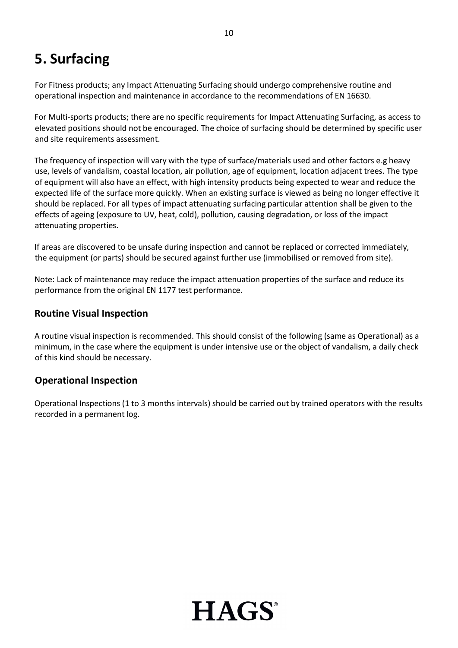# **5. Surfacing**

For Fitness products; any Impact Attenuating Surfacing should undergo comprehensive routine and operational inspection and maintenance in accordance to the recommendations of EN 16630.

For Multi-sports products; there are no specific requirements for Impact Attenuating Surfacing, as access to elevated positions should not be encouraged. The choice of surfacing should be determined by specific user and site requirements assessment.

The frequency of inspection will vary with the type of surface/materials used and other factors e.g heavy use, levels of vandalism, coastal location, air pollution, age of equipment, location adjacent trees. The type of equipment will also have an effect, with high intensity products being expected to wear and reduce the expected life of the surface more quickly. When an existing surface is viewed as being no longer effective it should be replaced. For all types of impact attenuating surfacing particular attention shall be given to the effects of ageing (exposure to UV, heat, cold), pollution, causing degradation, or loss of the impact attenuating properties.

If areas are discovered to be unsafe during inspection and cannot be replaced or corrected immediately, the equipment (or parts) should be secured against further use (immobilised or removed from site).

Note: Lack of maintenance may reduce the impact attenuation properties of the surface and reduce its performance from the original EN 1177 test performance.

#### **Routine Visual Inspection**

A routine visual inspection is recommended. This should consist of the following (same as Operational) as a minimum, in the case where the equipment is under intensive use or the object of vandalism, a daily check of this kind should be necessary.

#### **Operational Inspection**

Operational Inspections (1 to 3 months intervals) should be carried out by trained operators with the results recorded in a permanent log.

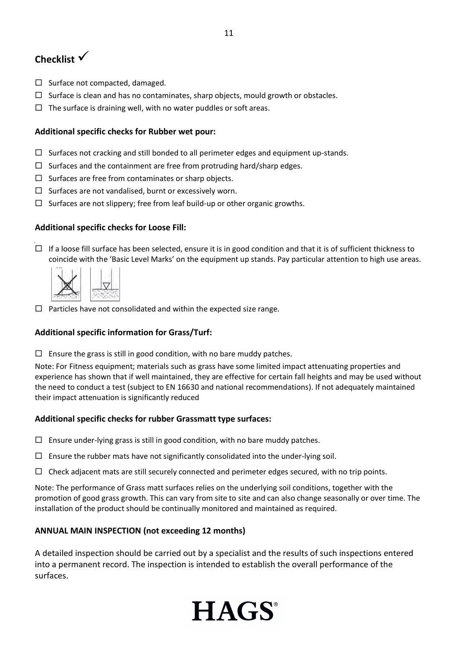## **Checklist**

- $\square$  Surface not compacted, damaged.
- $\Box$  Surface is clean and has no contaminates, sharp objects, mould growth or obstacles.
- $\Box$  The surface is draining well, with no water puddles or soft areas.

#### **Additional specific checks for Rubber wet pour:**

- $\square$  Surfaces not cracking and still bonded to all perimeter edges and equipment up-stands.
- $\Box$  Surfaces and the containment are free from protruding hard/sharp edges.
- $\square$  Surfaces are free from contaminates or sharp objects.
- $\square$  Surfaces are not vandalised, burnt or excessively worn.
- $\Box$  Surfaces are not slippery; free from leaf build-up or other organic growths.

#### **Additional specific checks for Loose Fill:**

 $\Box$  If a loose fill surface has been selected, ensure it is in good condition and that it is of sufficient thickness to coincide with the 'Basic Level Marks' on the equipment up stands. Pay particular attention to high use areas.



 $\Box$  Particles have not consolidated and within the expected size range.

#### **Additional specific information for Grass/Turf:**

 $\Box$  Ensure the grass is still in good condition, with no bare muddy patches.

Note: For Fitness equipment; materials such as grass have some limited impact attenuating properties and experience has shown that if well maintained, they are effective for certain fall heights and may be used without the need to conduct a test (subject to EN 16630 and national recommendations). If not adequately maintained their impact attenuation is significantly reduced

#### **Additional specific checks for rubber Grassmatt type surfaces:**

- $\Box$  Ensure under-lying grass is still in good condition, with no bare muddy patches.
- $\square$  Ensure the rubber mats have not significantly consolidated into the under-lying soil.
- $\Box$  Check adjacent mats are still securely connected and perimeter edges secured, with no trip points.

Note: The performance of Grass matt surfaces relies on the underlying soil conditions, together with the promotion of good grass growth. This can vary from site to site and can also change seasonally or over time. The installation of the product should be continually monitored and maintained as required.

#### **ANNUAL MAIN INSPECTION (not exceeding 12 months)**

A detailed inspection should be carried out by a specialist and the results of such inspections entered into a permanent record. The inspection is intended to establish the overall performance of the surfaces.



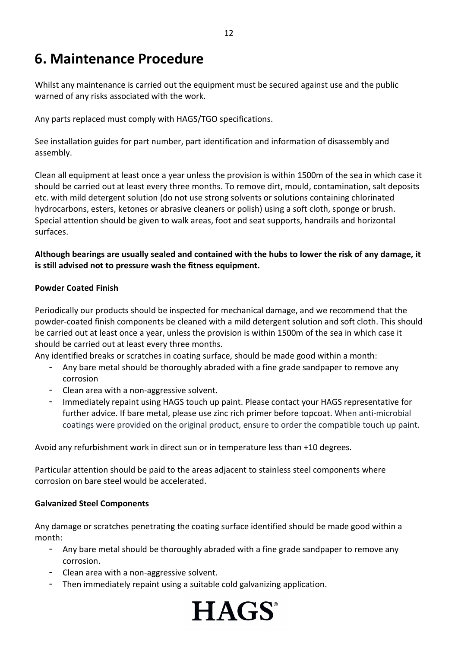# **6. Maintenance Procedure**

Whilst any maintenance is carried out the equipment must be secured against use and the public warned of any risks associated with the work.

Any parts replaced must comply with HAGS/TGO specifications.

See installation guides for part number, part identification and information of disassembly and assembly.

Clean all equipment at least once a year unless the provision is within 1500m of the sea in which case it should be carried out at least every three months. To remove dirt, mould, contamination, salt deposits etc. with mild detergent solution (do not use strong solvents or solutions containing chlorinated hydrocarbons, esters, ketones or abrasive cleaners or polish) using a soft cloth, sponge or brush. Special attention should be given to walk areas, foot and seat supports, handrails and horizontal surfaces.

#### **Although bearings are usually sealed and contained with the hubs to lower the risk of any damage, it is still advised not to pressure wash the fitness equipment.**

#### **Powder Coated Finish**

Periodically our products should be inspected for mechanical damage, and we recommend that the powder-coated finish components be cleaned with a mild detergent solution and soft cloth. This should be carried out at least once a year, unless the provision is within 1500m of the sea in which case it should be carried out at least every three months.

Any identified breaks or scratches in coating surface, should be made good within a month:

- Any bare metal should be thoroughly abraded with a fine grade sandpaper to remove any corrosion
- Clean area with a non-aggressive solvent.
- Immediately repaint using HAGS touch up paint. Please contact your HAGS representative for further advice. If bare metal, please use zinc rich primer before topcoat. When anti-microbial coatings were provided on the original product, ensure to order the compatible touch up paint.

Avoid any refurbishment work in direct sun or in temperature less than +10 degrees.

Particular attention should be paid to the areas adjacent to stainless steel components where corrosion on bare steel would be accelerated.

#### **Galvanized Steel Components**

Any damage or scratches penetrating the coating surface identified should be made good within a month:

- Any bare metal should be thoroughly abraded with a fine grade sandpaper to remove any corrosion.
- Clean area with a non-aggressive solvent.
- Then immediately repaint using a suitable cold galvanizing application.

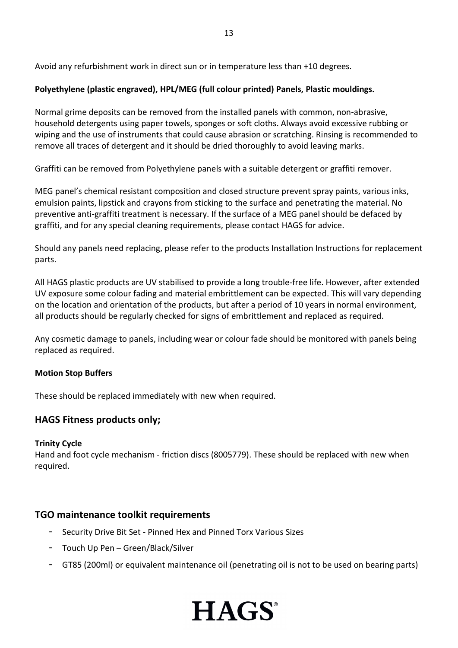Avoid any refurbishment work in direct sun or in temperature less than +10 degrees.

#### **Polyethylene (plastic engraved), HPL/MEG (full colour printed) Panels, Plastic mouldings.**

Normal grime deposits can be removed from the installed panels with common, non-abrasive, household detergents using paper towels, sponges or soft cloths. Always avoid excessive rubbing or wiping and the use of instruments that could cause abrasion or scratching. Rinsing is recommended to remove all traces of detergent and it should be dried thoroughly to avoid leaving marks.

Graffiti can be removed from Polyethylene panels with a suitable detergent or graffiti remover.

MEG panel's chemical resistant composition and closed structure prevent spray paints, various inks, emulsion paints, lipstick and crayons from sticking to the surface and penetrating the material. No preventive anti-graffiti treatment is necessary. If the surface of a MEG panel should be defaced by graffiti, and for any special cleaning requirements, please contact HAGS for advice.

Should any panels need replacing, please refer to the products Installation Instructions for replacement parts.

All HAGS plastic products are UV stabilised to provide a long trouble-free life. However, after extended UV exposure some colour fading and material embrittlement can be expected. This will vary depending on the location and orientation of the products, but after a period of 10 years in normal environment, all products should be regularly checked for signs of embrittlement and replaced as required.

Any cosmetic damage to panels, including wear or colour fade should be monitored with panels being replaced as required.

#### **Motion Stop Buffers**

These should be replaced immediately with new when required.

#### **HAGS Fitness products only;**

#### **Trinity Cycle**

Hand and foot cycle mechanism - friction discs (8005779). These should be replaced with new when required.

#### **TGO maintenance toolkit requirements**

- Security Drive Bit Set Pinned Hex and Pinned Torx Various Sizes
- Touch Up Pen Green/Black/Silver
- GT85 (200ml) or equivalent maintenance oil (penetrating oil is not to be used on bearing parts)

**HAGS**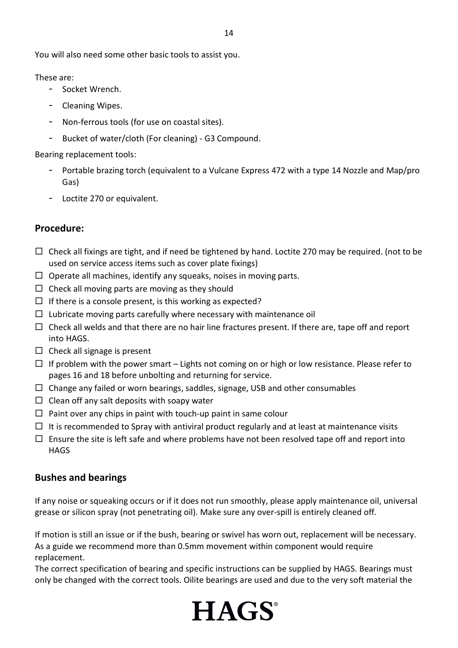You will also need some other basic tools to assist you.

#### These are:

- Socket Wrench.
- Cleaning Wipes.
- Non-ferrous tools (for use on coastal sites).
- Bucket of water/cloth (For cleaning) G3 Compound.

#### Bearing replacement tools:

- Portable brazing torch (equivalent to a Vulcane Express 472 with a type 14 Nozzle and Map/pro Gas)
- Loctite 270 or equivalent.

#### **Procedure:**

- $\Box$  Check all fixings are tight, and if need be tightened by hand. Loctite 270 may be required. (not to be used on service access items such as cover plate fixings)
- $\Box$  Operate all machines, identify any squeaks, noises in moving parts.
- $\Box$  Check all moving parts are moving as they should
- $\Box$  If there is a console present, is this working as expected?
- $\Box$  Lubricate moving parts carefully where necessary with maintenance oil
- $\Box$  Check all welds and that there are no hair line fractures present. If there are, tape off and report into HAGS.
- $\Box$  Check all signage is present
- $\Box$  If problem with the power smart Lights not coming on or high or low resistance. Please refer to pages 16 and 18 before unbolting and returning for service.
- $\Box$  Change any failed or worn bearings, saddles, signage, USB and other consumables
- $\Box$  Clean off any salt deposits with soapy water
- $\Box$  Paint over any chips in paint with touch-up paint in same colour
- $\Box$  It is recommended to Spray with antiviral product regularly and at least at maintenance visits
- $\Box$  Ensure the site is left safe and where problems have not been resolved tape off and report into **HAGS**

#### **Bushes and bearings**

If any noise or squeaking occurs or if it does not run smoothly, please apply maintenance oil, universal grease or silicon spray (not penetrating oil). Make sure any over-spill is entirely cleaned off.

If motion is still an issue or if the bush, bearing or swivel has worn out, replacement will be necessary. As a guide we recommend more than 0.5mm movement within component would require replacement.

The correct specification of bearing and specific instructions can be supplied by HAGS. Bearings must only be changed with the correct tools. Oilite bearings are used and due to the very soft material the

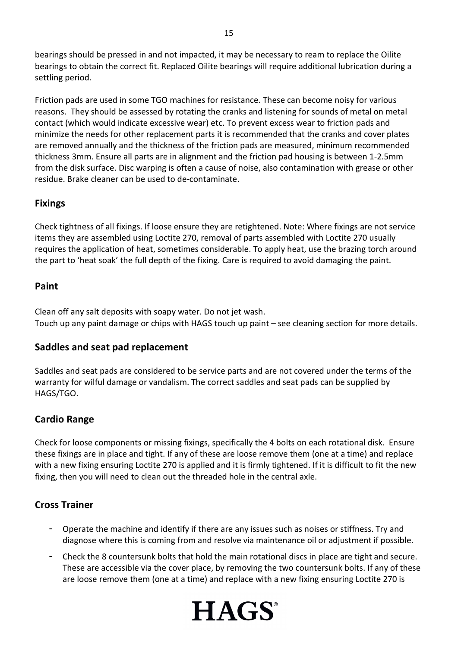bearings should be pressed in and not impacted, it may be necessary to ream to replace the Oilite bearings to obtain the correct fit. Replaced Oilite bearings will require additional lubrication during a settling period.

Friction pads are used in some TGO machines for resistance. These can become noisy for various reasons. They should be assessed by rotating the cranks and listening for sounds of metal on metal contact (which would indicate excessive wear) etc. To prevent excess wear to friction pads and minimize the needs for other replacement parts it is recommended that the cranks and cover plates are removed annually and the thickness of the friction pads are measured, minimum recommended thickness 3mm. Ensure all parts are in alignment and the friction pad housing is between 1-2.5mm from the disk surface. Disc warping is often a cause of noise, also contamination with grease or other residue. Brake cleaner can be used to de-contaminate.

#### **Fixings**

Check tightness of all fixings. If loose ensure they are retightened. Note: Where fixings are not service items they are assembled using Loctite 270, removal of parts assembled with Loctite 270 usually requires the application of heat, sometimes considerable. To apply heat, use the brazing torch around the part to 'heat soak' the full depth of the fixing. Care is required to avoid damaging the paint.

#### **Paint**

Clean off any salt deposits with soapy water. Do not jet wash. Touch up any paint damage or chips with HAGS touch up paint – see cleaning section for more details.

#### **Saddles and seat pad replacement**

Saddles and seat pads are considered to be service parts and are not covered under the terms of the warranty for wilful damage or vandalism. The correct saddles and seat pads can be supplied by HAGS/TGO.

#### **Cardio Range**

Check for loose components or missing fixings, specifically the 4 bolts on each rotational disk. Ensure these fixings are in place and tight. If any of these are loose remove them (one at a time) and replace with a new fixing ensuring Loctite 270 is applied and it is firmly tightened. If it is difficult to fit the new fixing, then you will need to clean out the threaded hole in the central axle.

#### **Cross Trainer**

- Operate the machine and identify if there are any issues such as noises or stiffness. Try and diagnose where this is coming from and resolve via maintenance oil or adjustment if possible.
- Check the 8 countersunk bolts that hold the main rotational discs in place are tight and secure. These are accessible via the cover place, by removing the two countersunk bolts. If any of these are loose remove them (one at a time) and replace with a new fixing ensuring Loctite 270 is

**HAGS** 

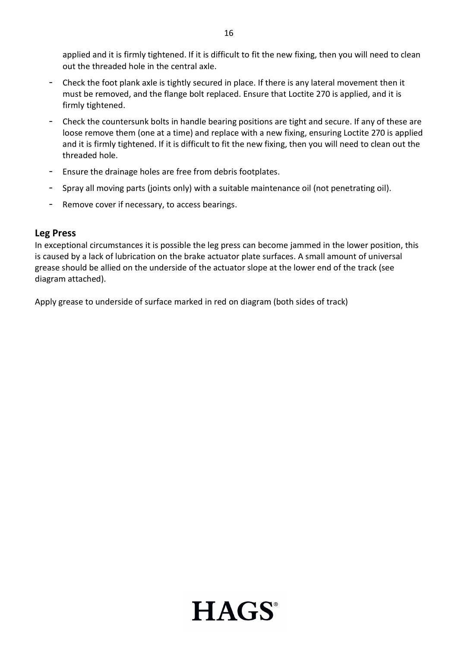applied and it is firmly tightened. If it is difficult to fit the new fixing, then you will need to clean out the threaded hole in the central axle.

- Check the foot plank axle is tightly secured in place. If there is any lateral movement then it must be removed, and the flange bolt replaced. Ensure that Loctite 270 is applied, and it is firmly tightened.
- Check the countersunk bolts in handle bearing positions are tight and secure. If any of these are loose remove them (one at a time) and replace with a new fixing, ensuring Loctite 270 is applied and it is firmly tightened. If it is difficult to fit the new fixing, then you will need to clean out the threaded hole.
- Ensure the drainage holes are free from debris footplates.
- Spray all moving parts (joints only) with a suitable maintenance oil (not penetrating oil).
- Remove cover if necessary, to access bearings.

#### **Leg Press**

In exceptional circumstances it is possible the leg press can become jammed in the lower position, this is caused by a lack of lubrication on the brake actuator plate surfaces. A small amount of universal grease should be allied on the underside of the actuator slope at the lower end of the track (see diagram attached).

Apply grease to underside of surface marked in red on diagram (both sides of track)

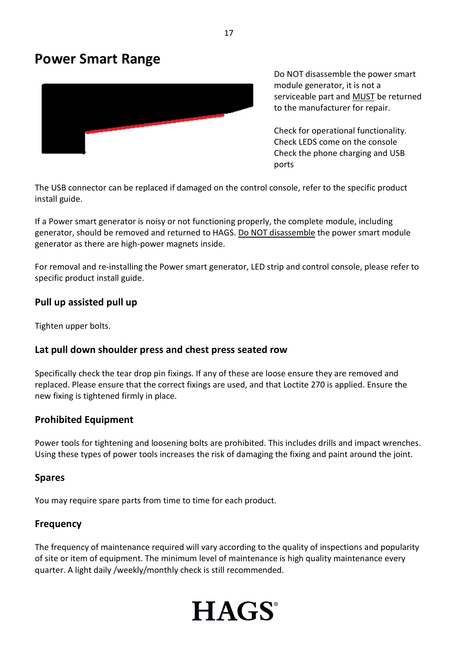## **Power Smart Range**



Do NOT disassemble the power smart module generator, it is not a serviceable part and MUST be returned to the manufacturer for repair.

Check for operational functionality. Check LEDS come on the console Check the phone charging and USB ports

The USB connector can be replaced if damaged on the control console, refer to the specific product install guide.

If a Power smart generator is noisy or not functioning properly, the complete module, including generator, should be removed and returned to HAGS. Do NOT disassemble the power smart module generator as there are high-power magnets inside.

For removal and re-installing the Power smart generator, LED strip and control console, please refer to specific product install guide.

#### **Pull up assisted pull up**

Tighten upper bolts.

#### **Lat pull down shoulder press and chest press seated row**

Specifically check the tear drop pin fixings. If any of these are loose ensure they are removed and replaced. Please ensure that the correct fixings are used, and that Loctite 270 is applied. Ensure the new fixing is tightened firmly in place.

#### **Prohibited Equipment**

Power tools for tightening and loosening bolts are prohibited. This includes drills and impact wrenches. Using these types of power tools increases the risk of damaging the fixing and paint around the joint.

#### **Spares**

You may require spare parts from time to time for each product.

#### **Frequency**

The frequency of maintenance required will vary according to the quality of inspections and popularity of site or item of equipment. The minimum level of maintenance is high quality maintenance every quarter. A light daily /weekly/monthly check is still recommended.

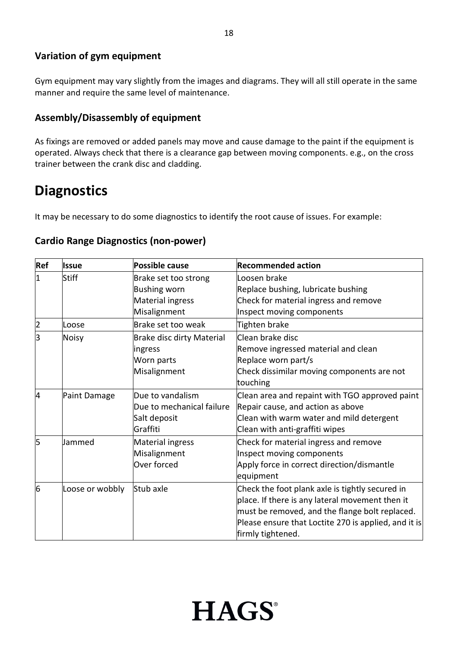#### **Variation of gym equipment**

Gym equipment may vary slightly from the images and diagrams. They will all still operate in the same manner and require the same level of maintenance.

#### **Assembly/Disassembly of equipment**

As fixings are removed or added panels may move and cause damage to the paint if the equipment is operated. Always check that there is a clearance gap between moving components. e.g., on the cross trainer between the crank disc and cladding.

# **Diagnostics**

It may be necessary to do some diagnostics to identify the root cause of issues. For example:

#### **Cardio Range Diagnostics (non-power)**

| Ref            | <b>Issue</b>    | <b>Possible cause</b>            | <b>Recommended action</b>                            |
|----------------|-----------------|----------------------------------|------------------------------------------------------|
| $\overline{1}$ | <b>Stiff</b>    | Brake set too strong             | Loosen brake                                         |
|                |                 | <b>Bushing worn</b>              | Replace bushing, lubricate bushing                   |
|                |                 | <b>Material ingress</b>          | Check for material ingress and remove                |
|                |                 | Misalignment                     | Inspect moving components                            |
| 2              | Loose           | Brake set too weak               | Tighten brake                                        |
| l3             | Noisy           | <b>Brake disc dirty Material</b> | Clean brake disc                                     |
|                |                 | ingress                          | Remove ingressed material and clean                  |
|                |                 | Worn parts                       | Replace worn part/s                                  |
|                |                 | Misalignment                     | Check dissimilar moving components are not           |
|                |                 |                                  | touching                                             |
| 4              | Paint Damage    | Due to vandalism                 | Clean area and repaint with TGO approved paint       |
|                |                 | Due to mechanical failure        | Repair cause, and action as above                    |
|                |                 | Salt deposit                     | Clean with warm water and mild detergent             |
|                |                 | Graffiti                         | Clean with anti-graffiti wipes                       |
| 5              | Jammed          | <b>Material ingress</b>          | Check for material ingress and remove                |
|                |                 | Misalignment                     | Inspect moving components                            |
|                |                 | Over forced                      | Apply force in correct direction/dismantle           |
|                |                 |                                  | equipment                                            |
| 6              | Loose or wobbly | Stub axle                        | Check the foot plank axle is tightly secured in      |
|                |                 |                                  | place. If there is any lateral movement then it      |
|                |                 |                                  | must be removed, and the flange bolt replaced.       |
|                |                 |                                  | Please ensure that Loctite 270 is applied, and it is |
|                |                 |                                  | firmly tightened.                                    |

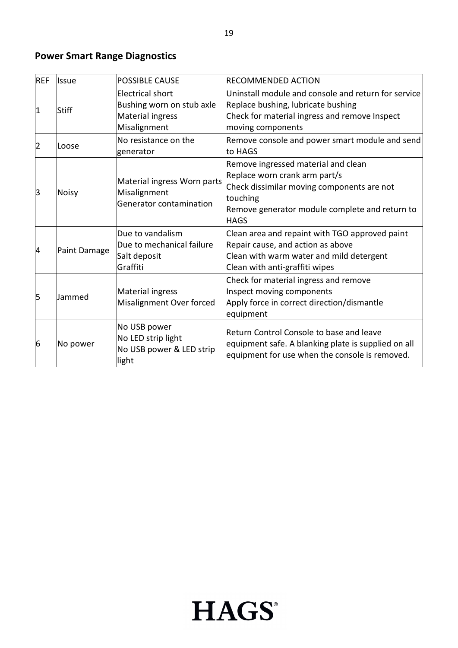## **Power Smart Range Diagnostics**

| <b>REF</b> | <b>Issue</b> | <b>POSSIBLE CAUSE</b>                                                             | <b>RECOMMENDED ACTION</b>                                                                                                                                                                       |
|------------|--------------|-----------------------------------------------------------------------------------|-------------------------------------------------------------------------------------------------------------------------------------------------------------------------------------------------|
| $\vert$ 1  | Stiff        | Electrical short<br>Bushing worn on stub axle<br>Material ingress<br>Misalignment | Uninstall module and console and return for service<br>Replace bushing, lubricate bushing<br>Check for material ingress and remove Inspect<br>moving components                                 |
| 2          | Loose        | No resistance on the<br>generator                                                 | Remove console and power smart module and send<br>to HAGS                                                                                                                                       |
| lЗ         | <b>Noisy</b> | Material ingress Worn parts<br>Misalignment<br>Generator contamination            | Remove ingressed material and clean<br>Replace worn crank arm part/s<br>Check dissimilar moving components are not<br>touching<br>Remove generator module complete and return to<br><b>HAGS</b> |
| 14         | Paint Damage | Due to vandalism<br>Due to mechanical failure<br>Salt deposit<br>Graffiti         | Clean area and repaint with TGO approved paint<br>Repair cause, and action as above<br>Clean with warm water and mild detergent<br>Clean with anti-graffiti wipes                               |
| 5          | Jammed       | Material ingress<br>Misalignment Over forced                                      | Check for material ingress and remove<br>Inspect moving components<br>Apply force in correct direction/dismantle<br>equipment                                                                   |
| 6          | No power     | No USB power<br>No LED strip light<br>No USB power & LED strip<br>light           | Return Control Console to base and leave<br>equipment safe. A blanking plate is supplied on all<br>equipment for use when the console is removed.                                               |

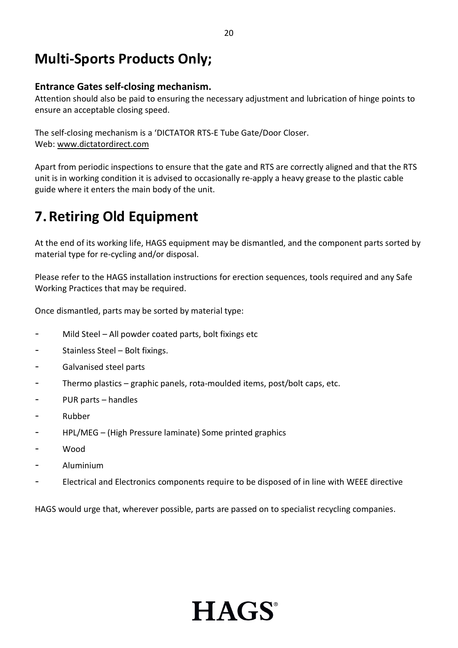## **Multi-Sports Products Only;**

#### **Entrance Gates self-closing mechanism.**

Attention should also be paid to ensuring the necessary adjustment and lubrication of hinge points to ensure an acceptable closing speed.

The self-closing mechanism is a 'DICTATOR RTS-E Tube Gate/Door Closer. Web: [www.dictatordirect.com](http://www.dictatordirect.com/)

Apart from periodic inspections to ensure that the gate and RTS are correctly aligned and that the RTS unit is in working condition it is advised to occasionally re-apply a heavy grease to the plastic cable guide where it enters the main body of the unit.

# **7. Retiring Old Equipment**

At the end of its working life, HAGS equipment may be dismantled, and the component parts sorted by material type for re-cycling and/or disposal.

Please refer to the HAGS installation instructions for erection sequences, tools required and any Safe Working Practices that may be required.

Once dismantled, parts may be sorted by material type:

- Mild Steel All powder coated parts, bolt fixings etc
- Stainless Steel Bolt fixings.
- Galvanised steel parts
- Thermo plastics graphic panels, rota-moulded items, post/bolt caps, etc.
- PUR parts handles
- Rubber
- HPL/MEG (High Pressure laminate) Some printed graphics
- Wood
- Aluminium
- Electrical and Electronics components require to be disposed of in line with WEEE directive

HAGS would urge that, wherever possible, parts are passed on to specialist recycling companies.